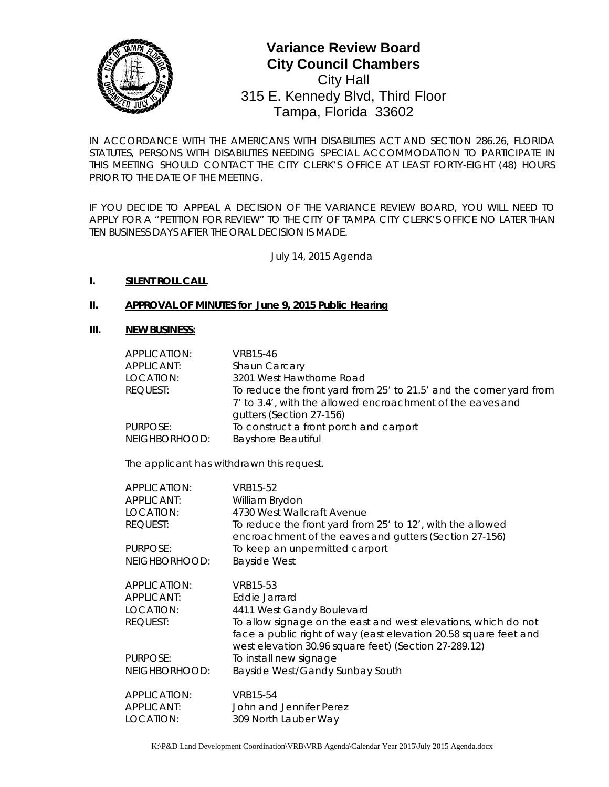

# 0 Tampa, Florida 33602**Variance Review Board City Council Chambers** City Hall 315 E. Kennedy Blvd, Third Floor

*IN ACCORDANCE WITH THE AMERICANS WITH DISABILITIES ACT AND SECTION 286.26, FLORIDA*  STATUTES, PERSONS WITH DISABILITIES NEEDING SPECIAL ACCOMMODATION TO PARTICIPATE IN *THIS MEETING SHOULD CONTACT THE CITY CLERK'S OFFICE AT LEAST FORTY-EIGHT (48) HOURS PRIOR TO THE DATE OF THE MEETING.*

*IF YOU DECIDE TO APPEAL A DECISION OF THE VARIANCE REVIEW BOARD, YOU WILL NEED TO APPLY FOR A "PETITION FOR REVIEW" TO THE CITY OF TAMPA CITY CLERK'S OFFICE NO LATER THAN TEN BUSINESS DAYS AFTER THE ORAL DECISION IS MADE.* 

July 14, 2015 Agenda

#### **I. SILENT ROLL CALL**

#### **II. APPROVAL OF MINUTES for June 9, 2015 Public Hearing**

#### **III. NEW BUSINESS:**

| APPLICATION:  | VRB15-46                                                            |
|---------------|---------------------------------------------------------------------|
| APPLICANT:    | Shaun Carcary                                                       |
| LOCATION:     | 3201 West Hawthorne Road                                            |
| REQUEST:      | To reduce the front yard from 25' to 21.5' and the corner yard from |
|               | 7' to 3.4', with the allowed encroachment of the eaves and          |
|               | gutters (Section 27-156)                                            |
| PURPOSE:      | To construct a front porch and carport                              |
| NEIGHBORHOOD: | <b>Bayshore Beautiful</b>                                           |

The applicant has withdrawn this request.

| APPLICATION:  | VRB15-52                                                                                                                                                                                    |
|---------------|---------------------------------------------------------------------------------------------------------------------------------------------------------------------------------------------|
| APPLICANT:    | William Brydon                                                                                                                                                                              |
| LOCATION:     | 4730 West Wallcraft Avenue                                                                                                                                                                  |
| REQUEST:      | To reduce the front yard from 25' to 12', with the allowed<br>encroachment of the eaves and gutters (Section 27-156)                                                                        |
| PURPOSE:      | To keep an unpermitted carport                                                                                                                                                              |
| NEIGHBORHOOD: | <b>Bayside West</b>                                                                                                                                                                         |
| APPLICATION:  | VRB15-53                                                                                                                                                                                    |
| APPLICANT:    | Eddie Jarrard                                                                                                                                                                               |
| LOCATION:     | 4411 West Gandy Boulevard                                                                                                                                                                   |
| REQUEST:      | To allow signage on the east and west elevations, which do not<br>face a public right of way (east elevation 20.58 square feet and<br>west elevation 30.96 square feet) (Section 27-289.12) |
| PURPOSE:      | To install new signage                                                                                                                                                                      |
| NEIGHBORHOOD: | Bayside West/Gandy Sunbay South                                                                                                                                                             |
| APPLICATION:  | VRB15-54                                                                                                                                                                                    |
| APPLICANT:    | John and Jennifer Perez                                                                                                                                                                     |
| LOCATION:     | 309 North Lauber Way                                                                                                                                                                        |